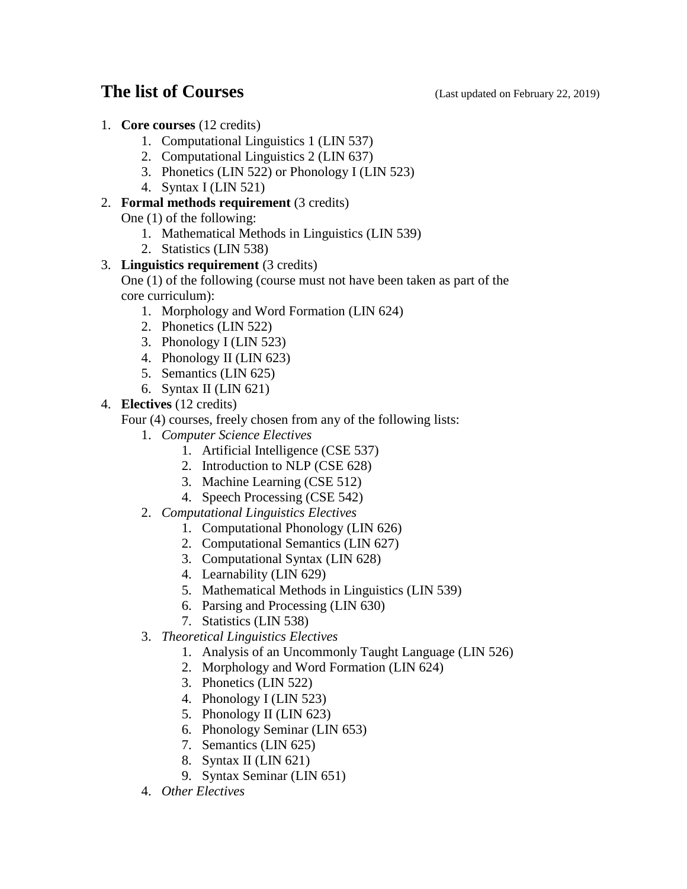## **The list of Courses** (Last updated on February 22, 2019)

- 1. **Core courses** (12 credits)
	- 1. Computational Linguistics 1 (LIN 537)
	- 2. Computational Linguistics 2 (LIN 637)
	- 3. Phonetics (LIN 522) or Phonology I (LIN 523)
	- 4. Syntax I (LIN 521)

## 2. **Formal methods requirement** (3 credits)

One (1) of the following:

- 1. Mathematical Methods in Linguistics (LIN 539)
- 2. Statistics (LIN 538)

## 3. **Linguistics requirement** (3 credits)

One (1) of the following (course must not have been taken as part of the core curriculum):

- 1. Morphology and Word Formation (LIN 624)
- 2. Phonetics (LIN 522)
- 3. Phonology I (LIN 523)
- 4. Phonology II (LIN 623)
- 5. Semantics (LIN 625)
- 6. Syntax II (LIN 621)

4. **Electives** (12 credits)

Four (4) courses, freely chosen from any of the following lists:

- 1. *Computer Science Electives*
	- 1. Artificial Intelligence (CSE 537)
	- 2. Introduction to NLP (CSE 628)
	- 3. Machine Learning (CSE 512)
	- 4. Speech Processing (CSE 542)
- 2. *Computational Linguistics Electives*
	- 1. Computational Phonology (LIN 626)
	- 2. Computational Semantics (LIN 627)
	- 3. Computational Syntax (LIN 628)
	- 4. Learnability (LIN 629)
	- 5. Mathematical Methods in Linguistics (LIN 539)
	- 6. Parsing and Processing (LIN 630)
	- 7. Statistics (LIN 538)
- 3. *Theoretical Linguistics Electives*
	- 1. Analysis of an Uncommonly Taught Language (LIN 526)
	- 2. Morphology and Word Formation (LIN 624)
	- 3. Phonetics (LIN 522)
	- 4. Phonology I (LIN 523)
	- 5. Phonology II (LIN 623)
	- 6. Phonology Seminar (LIN 653)
	- 7. Semantics (LIN 625)
	- 8. Syntax II (LIN 621)
	- 9. Syntax Seminar (LIN 651)
- 4. *Other Electives*